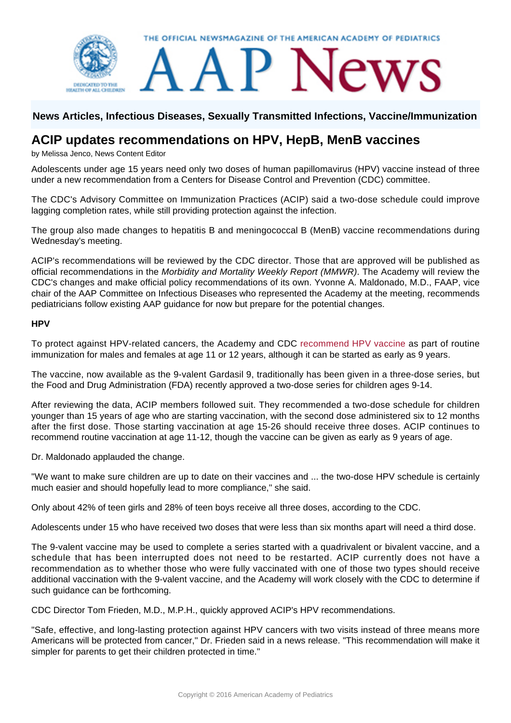

## **News Articles, Infectious Diseases, Sexually Transmitted Infections, Vaccine/Immunization**

# **ACIP updates recommendations on HPV, HepB, MenB vaccines**

by Melissa Jenco, News Content Editor

Adolescents under age 15 years need only two doses of human papillomavirus (HPV) vaccine instead of three under a new recommendation from a Centers for Disease Control and Prevention (CDC) committee.

The CDC's Advisory Committee on Immunization Practices (ACIP) said a two-dose schedule could improve lagging completion rates, while still providing protection against the infection.

The group also made changes to hepatitis B and meningococcal B (MenB) vaccine recommendations during Wednesday's meeting.

ACIP's recommendations will be reviewed by the CDC director. Those that are approved will be published as official recommendations in the Morbidity and Mortality Weekly Report (MMWR). The Academy will review the CDC's changes and make official policy recommendations of its own. Yvonne A. Maldonado, M.D., FAAP, vice chair of the AAP Committee on Infectious Diseases who represented the Academy at the meeting, recommends pediatricians follow existing AAP guidance for now but prepare for the potential changes.

#### **HPV**

To protect against HPV-related cancers, the Academy and CDC [recommend HPV vaccine](http://redbook.solutions.aap.org/chapter.aspx?sectionId=88187200&bookId=1484&resultClick=1) as part of routine immunization for males and females at age 11 or 12 years, although it can be started as early as 9 years.

The vaccine, now available as the 9-valent Gardasil 9, traditionally has been given in a three-dose series, but the Food and Drug Administration (FDA) recently approved a two-dose series for children ages 9-14.

After reviewing the data, ACIP members followed suit. They recommended a two-dose schedule for children younger than 15 years of age who are starting vaccination, with the second dose administered six to 12 months after the first dose. Those starting vaccination at age 15-26 should receive three doses. ACIP continues to recommend routine vaccination at age 11-12, though the vaccine can be given as early as 9 years of age.

Dr. Maldonado applauded the change.

"We want to make sure children are up to date on their vaccines and ... the two-dose HPV schedule is certainly much easier and should hopefully lead to more compliance," she said.

Only about 42% of teen girls and 28% of teen boys receive all three doses, according to the CDC.

Adolescents under 15 who have received two doses that were less than six months apart will need a third dose.

The 9-valent vaccine may be used to complete a series started with a quadrivalent or bivalent vaccine, and a schedule that has been interrupted does not need to be restarted. ACIP currently does not have a recommendation as to whether those who were fully vaccinated with one of those two types should receive additional vaccination with the 9-valent vaccine, and the Academy will work closely with the CDC to determine if such guidance can be forthcoming.

CDC Director Tom Frieden, M.D., M.P.H., quickly approved ACIP's HPV recommendations.

"Safe, effective, and long-lasting protection against HPV cancers with two visits instead of three means more Americans will be protected from cancer," Dr. Frieden said in a news release. "This recommendation will make it simpler for parents to get their children protected in time."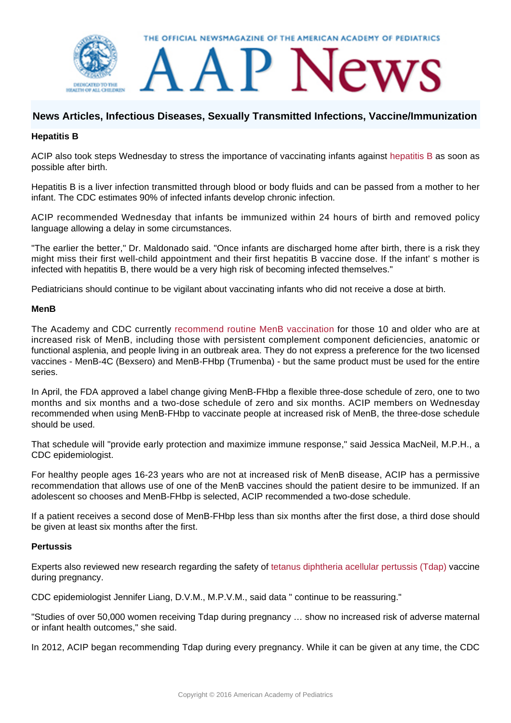

# **News Articles, Infectious Diseases, Sexually Transmitted Infections, Vaccine/Immunization**

## **Hepatitis B**

ACIP also took steps Wednesday to stress the importance of vaccinating infants against [hepatitis B](http://redbook.solutions.aap.org/chapter.aspx?sectionId=88187159&bookId=1484&resultClick=1) as soon as possible after birth.

Hepatitis B is a liver infection transmitted through blood or body fluids and can be passed from a mother to her infant. The CDC estimates 90% of infected infants develop chronic infection.

ACIP recommended Wednesday that infants be immunized within 24 hours of birth and removed policy language allowing a delay in some circumstances.

"The earlier the better," Dr. Maldonado said. "Once infants are discharged home after birth, there is a risk they might miss their first well-child appointment and their first hepatitis B vaccine dose. If the infant' s mother is infected with hepatitis B, there would be a very high risk of becoming infected themselves."

Pediatricians should continue to be vigilant about vaccinating infants who did not receive a dose at birth.

### **MenB**

The Academy and CDC currently [recommend routine MenB vaccination](http://dx.doi.org/10.1542/peds.2016-1890) for those 10 and older who are at increased risk of MenB, including those with persistent complement component deficiencies, anatomic or functional asplenia, and people living in an outbreak area. They do not express a preference for the two licensed vaccines - MenB-4C (Bexsero) and MenB-FHbp (Trumenba) - but the same product must be used for the entire series.

In April, the FDA approved a label change giving MenB-FHbp a flexible three-dose schedule of zero, one to two months and six months and a two-dose schedule of zero and six months. ACIP members on Wednesday recommended when using MenB-FHbp to vaccinate people at increased risk of MenB, the three-dose schedule should be used.

That schedule will "provide early protection and maximize immune response," said Jessica MacNeil, M.P.H., a CDC epidemiologist.

For healthy people ages 16-23 years who are not at increased risk of MenB disease, ACIP has a permissive recommendation that allows use of one of the MenB vaccines should the patient desire to be immunized. If an adolescent so chooses and MenB-FHbp is selected, ACIP recommended a two-dose schedule.

If a patient receives a second dose of MenB-FHbp less than six months after the first dose, a third dose should be given at least six months after the first.

### **Pertussis**

Experts also reviewed new research regarding the safety of [tetanus diphtheria acellular pertussis \(Tdap\)](http://redbook.solutions.aap.org/chapter.aspx?sectionId=88187212&bookId=1484&resultClick=1) vaccine during pregnancy.

CDC epidemiologist Jennifer Liang, D.V.M., M.P.V.M., said data " continue to be reassuring."

"Studies of over 50,000 women receiving Tdap during pregnancy … show no increased risk of adverse maternal or infant health outcomes," she said.

In 2012, ACIP began recommending Tdap during every pregnancy. While it can be given at any time, the CDC